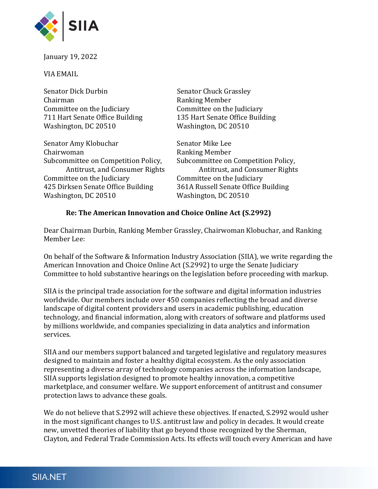

January 19, 2022

VIA EMAIL

| <b>Senator Chuck Grassley</b>       |
|-------------------------------------|
| <b>Ranking Member</b>               |
| Committee on the Judiciary          |
| 135 Hart Senate Office Building     |
| Washington, DC 20510                |
| Senator Mike Lee                    |
| Ranking Member                      |
| Subcommittee on Competition Policy, |
| Antitrust, and Consumer Rights      |
| Committee on the Judiciary          |
| 361A Russell Senate Office Building |
|                                     |

## Re: The American Innovation and Choice Online Act (S.2992)

Washington, DC 20510 Washington, DC 20510

Dear Chairman Durbin, Ranking Member Grassley, Chairwoman Klobuchar, and Ranking Member Lee:

On behalf of the Software & Information Industry Association (SIIA), we write regarding the American Innovation and Choice Online Act (S.2992) to urge the Senate Judiciary Committee to hold substantive hearings on the legislation before proceeding with markup.

SIIA is the principal trade association for the software and digital information industries worldwide. Our members include over 450 companies reflecting the broad and diverse landscape of digital content providers and users in academic publishing, education technology, and financial information, along with creators of software and platforms used by millions worldwide, and companies specializing in data analytics and information services.

SIIA and our members support balanced and targeted legislative and regulatory measures designed to maintain and foster a healthy digital ecosystem. As the only association representing a diverse array of technology companies across the information landscape, SIIA supports legislation designed to promote healthy innovation, a competitive marketplace, and consumer welfare. We support enforcement of antitrust and consumer protection laws to advance these goals.

We do not believe that S.2992 will achieve these objectives. If enacted, S.2992 would usher in the most significant changes to U.S. antitrust law and policy in decades. It would create new, unvetted theories of liability that go beyond those recognized by the Sherman, Clayton, and Federal Trade Commission Acts. Its effects will touch every American and have

## SIIA.NET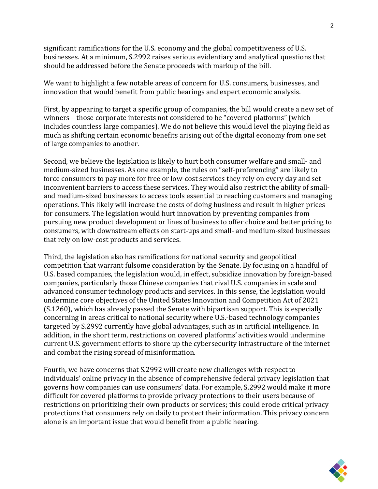significant ramifications for the U.S. economy and the global competitiveness of U.S. businesses. At a minimum, S.2992 raises serious evidentiary and analytical questions that should be addressed before the Senate proceeds with markup of the bill.

We want to highlight a few notable areas of concern for U.S. consumers, businesses, and innovation that would benefit from public hearings and expert economic analysis.

First, by appearing to target a specific group of companies, the bill would create a new set of winners – those corporate interests not considered to be "covered platforms" (which includes countless large companies). We do not believe this would level the playing field as much as shifting certain economic benefits arising out of the digital economy from one set of large companies to another.

Second, we believe the legislation is likely to hurt both consumer welfare and small- and medium-sized businesses. As one example, the rules on "self-preferencing" are likely to force consumers to pay more for free or low-cost services they rely on every day and set inconvenient barriers to access these services. They would also restrict the ability of smalland medium-sized businesses to access tools essential to reaching customers and managing operations. This likely will increase the costs of doing business and result in higher prices for consumers. The legislation would hurt innovation by preventing companies from pursuing new product development or lines of business to offer choice and better pricing to consumers, with downstream effects on start-ups and small- and medium-sized businesses that rely on low-cost products and services.

Third, the legislation also has ramifications for national security and geopolitical competition that warrant fulsome consideration by the Senate. By focusing on a handful of U.S. based companies, the legislation would, in effect, subsidize innovation by foreign-based companies, particularly those Chinese companies that rival U.S. companies in scale and advanced consumer technology products and services. In this sense, the legislation would undermine core objectives of the United States Innovation and Competition Act of 2021 (S.1260), which has already passed the Senate with bipartisan support. This is especially concerning in areas critical to national security where U.S.-based technology companies targeted by S.2992 currently have global advantages, such as in artificial intelligence. In addition, in the short term, restrictions on covered platforms' activities would undermine current U.S. government efforts to shore up the cybersecurity infrastructure of the internet and combat the rising spread of misinformation.

Fourth, we have concerns that S.2992 will create new challenges with respect to individuals' online privacy in the absence of comprehensive federal privacy legislation that governs how companies can use consumers' data. For example, S.2992 would make it more difficult for covered platforms to provide privacy protections to their users because of restrictions on prioritizing their own products or services; this could erode critical privacy protections that consumers rely on daily to protect their information. This privacy concern alone is an important issue that would benefit from a public hearing.